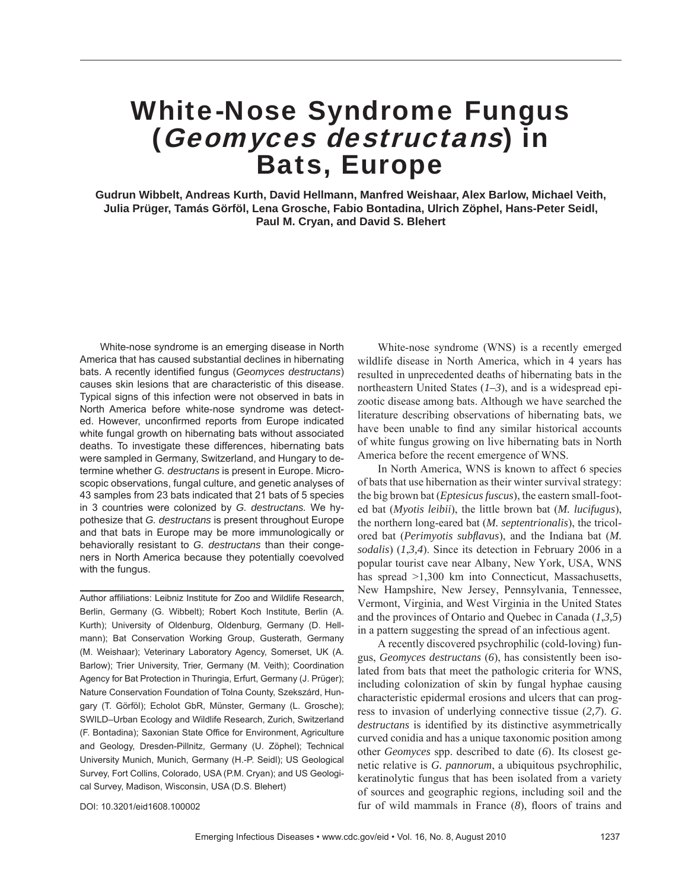# White-Nose Syndrome Fungus (Geomyces destructans) in Bats, Europe

**Gudrun Wibbelt, Andreas Kurth, David Hellmann, Manfred Weishaar, Alex Barlow, Michael Veith, Julia Prüger, Tamás Görföl, Lena Grosche, Fabio Bontadina, Ulrich Zöphel, Hans-Peter Seidl, Paul M. Cryan, and David S. Blehert**

White-nose syndrome is an emerging disease in North America that has caused substantial declines in hibernating bats. A recently identified fungus (*Geomyces destructans*) causes skin lesions that are characteristic of this disease. Typical signs of this infection were not observed in bats in North America before white-nose syndrome was detected. However, unconfirmed reports from Europe indicated white fungal growth on hibernating bats without associated deaths. To investigate these differences, hibernating bats were sampled in Germany, Switzerland, and Hungary to determine whether *G. destructans* is present in Europe. Microscopic observations, fungal culture, and genetic analyses of 43 samples from 23 bats indicated that 21 bats of 5 species in 3 countries were colonized by *G. destructans.* We hypothesize that *G. destructans* is present throughout Europe and that bats in Europe may be more immunologically or behaviorally resistant to *G. destructans* than their congeners in North America because they potentially coevolved with the fungus.

Author affiliations: Leibniz Institute for Zoo and Wildlife Research, Berlin, Germany (G. Wibbelt); Robert Koch Institute, Berlin (A. Kurth); University of Oldenburg, Oldenburg, Germany (D. Hellmann); Bat Conservation Working Group, Gusterath, Germany (M. Weishaar); Veterinary Laboratory Agency, Somerset, UK (A. Barlow); Trier University, Trier, Germany (M. Veith); Coordination Agency for Bat Protection in Thuringia, Erfurt, Germany (J. Prüger); Nature Conservation Foundation of Tolna County, Szekszárd, Hungary (T. Görföl); Echolot GbR, Münster, Germany (L. Grosche); SWILD–Urban Ecology and Wildlife Research, Zurich, Switzerland (F. Bontadina); Saxonian State Office for Environment, Agriculture and Geology, Dresden-Pillnitz, Germany (U. Zöphel); Technical University Munich, Munich, Germany (H.-P. Seidl); US Geological Survey, Fort Collins, Colorado, USA (P.M. Cryan); and US Geological Survey, Madison, Wisconsin, USA (D.S. Blehert)

White-nose syndrome (WNS) is a recently emerged wildlife disease in North America, which in 4 years has resulted in unprecedented deaths of hibernating bats in the northeastern United States (*1–3*), and is a widespread epizootic disease among bats. Although we have searched the literature describing observations of hibernating bats, we have been unable to find any similar historical accounts of white fungus growing on live hibernating bats in North America before the recent emergence of WNS.

In North America, WNS is known to affect 6 species of bats that use hibernation as their winter survival strategy: the big brown bat (*Eptesicus fuscus*), the eastern small-footed bat (*Myotis leibii*), the little brown bat (*M. lucifugus*), the northern long-eared bat (*M. septentrionalis*), the tricolored bat (*Perimyotis subflavus*), and the Indiana bat (*M*. *sodalis*) (*1*,*3,4*). Since its detection in February 2006 in a popular tourist cave near Albany, New York, USA, WNS has spread  $>1,300$  km into Connecticut, Massachusetts, New Hampshire, New Jersey, Pennsylvania, Tennessee, Vermont, Virginia, and West Virginia in the United States and the provinces of Ontario and Quebec in Canada (*1*,*3,5*) in a pattern suggesting the spread of an infectious agent.

A recently discovered psychrophilic (cold-loving) fungus, *Geomyces destructans* (*6*), has consistently been isolated from bats that meet the pathologic criteria for WNS, including colonization of skin by fungal hyphae causing characteristic epidermal erosions and ulcers that can progress to invasion of underlying connective tissue (*2,7*). *G*. *destructans* is identified by its distinctive asymmetrically curved conidia and has a unique taxonomic position among other *Geomyces* spp. described to date (*6*). Its closest genetic relative is *G. pannorum*, a ubiquitous psychrophilic, keratinolytic fungus that has been isolated from a variety of sources and geographic regions, including soil and the fur of wild mammals in France  $(8)$ , floors of trains and

DOI: 10.3201/eid1608.100002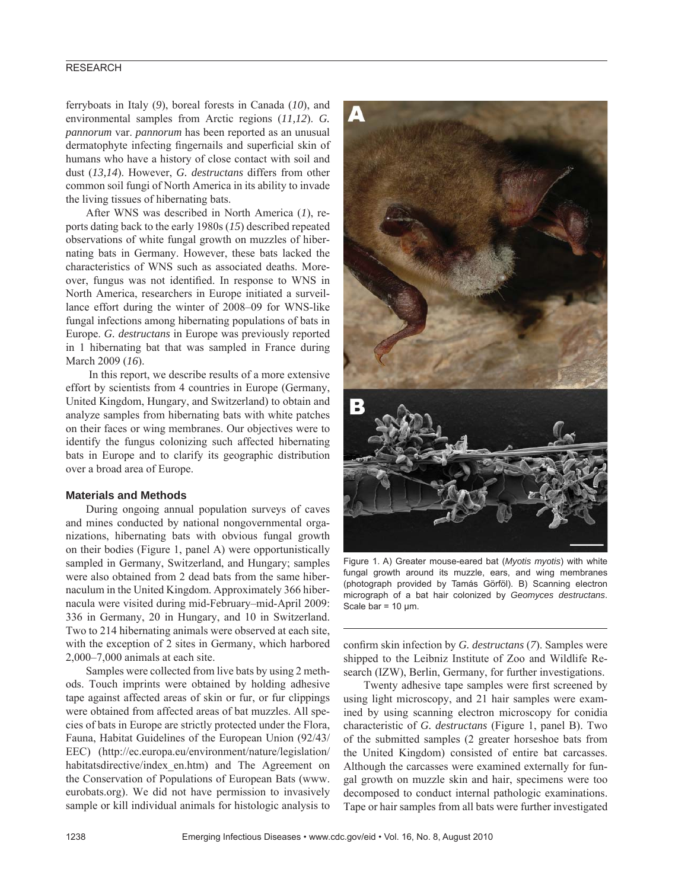# RESEARCH

ferryboats in Italy (*9*), boreal forests in Canada (*10*), and environmental samples from Arctic regions (*11,12*). *G. pannorum* var. *pannorum* has been reported as an unusual dermatophyte infecting fingernails and superficial skin of humans who have a history of close contact with soil and dust (*13,14*). However, *G. destructans* differs from other common soil fungi of North America in its ability to invade the living tissues of hibernating bats.

After WNS was described in North America (*1*), reports dating back to the early 1980s (*15*) described repeated observations of white fungal growth on muzzles of hibernating bats in Germany. However, these bats lacked the characteristics of WNS such as associated deaths. Moreover, fungus was not identified. In response to WNS in North America, researchers in Europe initiated a surveillance effort during the winter of 2008–09 for WNS-like fungal infections among hibernating populations of bats in Europe. *G. destructans* in Europe was previously reported in 1 hibernating bat that was sampled in France during March 2009 (*16*).

 In this report, we describe results of a more extensive effort by scientists from 4 countries in Europe (Germany, United Kingdom, Hungary, and Switzerland) to obtain and analyze samples from hibernating bats with white patches on their faces or wing membranes. Our objectives were to identify the fungus colonizing such affected hibernating bats in Europe and to clarify its geographic distribution over a broad area of Europe.

#### **Materials and Methods**

During ongoing annual population surveys of caves and mines conducted by national nongovernmental organizations, hibernating bats with obvious fungal growth on their bodies (Figure 1, panel A) were opportunistically sampled in Germany, Switzerland, and Hungary; samples were also obtained from 2 dead bats from the same hibernaculum in the United Kingdom. Approximately 366 hibernacula were visited during mid-February–mid-April 2009: 336 in Germany, 20 in Hungary, and 10 in Switzerland. Two to 214 hibernating animals were observed at each site, with the exception of 2 sites in Germany, which harbored 2,000–7,000 animals at each site.

Samples were collected from live bats by using 2 methods. Touch imprints were obtained by holding adhesive tape against affected areas of skin or fur, or fur clippings were obtained from affected areas of bat muzzles. All species of bats in Europe are strictly protected under the Flora, Fauna, Habitat Guidelines of the European Union (92/43/ EEC) (http://ec.europa.eu/environment/nature/legislation/ habitatsdirective/index en.htm) and The Agreement on the Conservation of Populations of European Bats (www. eurobats.org). We did not have permission to invasively sample or kill individual animals for histologic analysis to



Figure 1. A) Greater mouse-eared bat (*Myotis myotis*) with white fungal growth around its muzzle, ears, and wing membranes (photograph provided by Tamás Görföl). B) Scanning electron micrograph of a bat hair colonized by *Geomyces destructans*. Scale bar =  $10 \mu m$ .

confirm skin infection by *G. destructans* (7). Samples were shipped to the Leibniz Institute of Zoo and Wildlife Research (IZW), Berlin, Germany, for further investigations.

Twenty adhesive tape samples were first screened by using light microscopy, and 21 hair samples were examined by using scanning electron microscopy for conidia characteristic of *G. destructans* (Figure 1, panel B). Two of the submitted samples (2 greater horseshoe bats from the United Kingdom) consisted of entire bat carcasses. Although the carcasses were examined externally for fungal growth on muzzle skin and hair, specimens were too decomposed to conduct internal pathologic examinations. Tape or hair samples from all bats were further investigated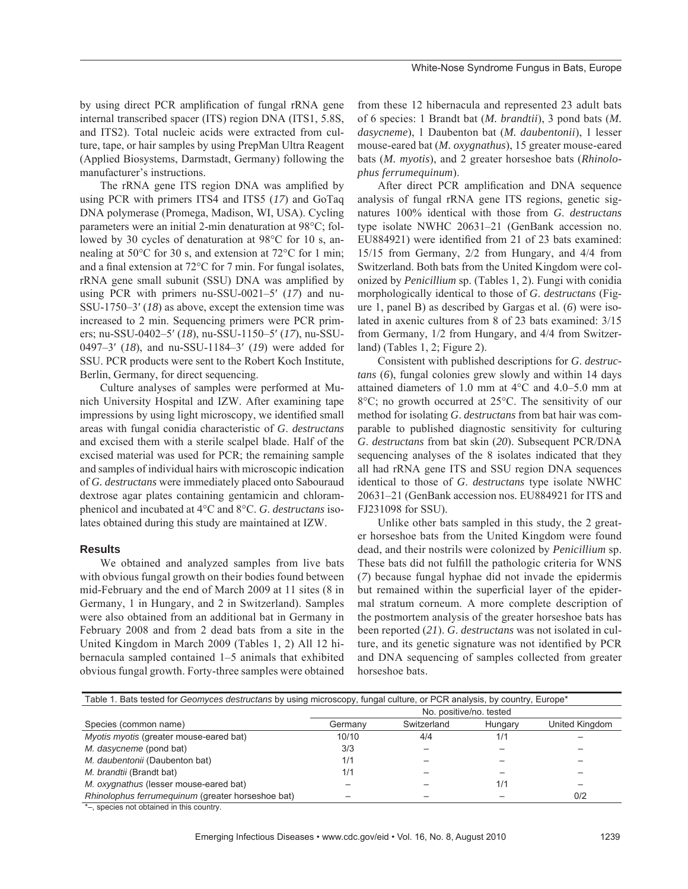by using direct PCR amplification of fungal rRNA gene internal transcribed spacer (ITS) region DNA (ITS1, 5.8S, and ITS2). Total nucleic acids were extracted from culture, tape, or hair samples by using PrepMan Ultra Reagent (Applied Biosystems, Darmstadt, Germany) following the manufacturer's instructions.

The rRNA gene ITS region DNA was amplified by using PCR with primers ITS4 and ITS5 (*17*) and GoTaq DNA polymerase (Promega, Madison, WI, USA). Cycling parameters were an initial 2-min denaturation at 98°C; followed by 30 cycles of denaturation at 98°C for 10 s, annealing at 50°C for 30 s, and extension at 72°C for 1 min; and a final extension at  $72^{\circ}$ C for 7 min. For fungal isolates, rRNA gene small subunit (SSU) DNA was amplified by using PCR with primers nu-SSU-0021–5′ (*17*) and nu-SSU-1750–3′ (*18*) as above, except the extension time was increased to 2 min. Sequencing primers were PCR primers; nu-SSU-0402–5′ (*18*), nu-SSU-1150–5′ (*17*), nu-SSU-0497–3′ (*18*), and nu-SSU-1184–3′ (*19*) were added for SSU. PCR products were sent to the Robert Koch Institute, Berlin, Germany, for direct sequencing.

Culture analyses of samples were performed at Munich University Hospital and IZW. After examining tape impressions by using light microscopy, we identified small areas with fungal conidia characteristic of *G*. *destructans* and excised them with a sterile scalpel blade. Half of the excised material was used for PCR; the remaining sample and samples of individual hairs with microscopic indication of *G. destructans* were immediately placed onto Sabouraud dextrose agar plates containing gentamicin and chloramphenicol and incubated at 4°C and 8°C. *G*. *destructans* isolates obtained during this study are maintained at IZW.

# **Results**

We obtained and analyzed samples from live bats with obvious fungal growth on their bodies found between mid-February and the end of March 2009 at 11 sites (8 in Germany, 1 in Hungary, and 2 in Switzerland). Samples were also obtained from an additional bat in Germany in February 2008 and from 2 dead bats from a site in the United Kingdom in March 2009 (Tables 1, 2) All 12 hibernacula sampled contained 1–5 animals that exhibited obvious fungal growth. Forty-three samples were obtained

from these 12 hibernacula and represented 23 adult bats of 6 species: 1 Brandt bat (*M. brandtii*), 3 pond bats (*M. dasycneme*), 1 Daubenton bat (*M. daubentonii*), 1 lesser mouse-eared bat (*M. oxygnathus*), 15 greater mouse-eared bats (*M. myotis*), and 2 greater horseshoe bats (*Rhinolophus ferrumequinum*).

After direct PCR amplification and DNA sequence analysis of fungal rRNA gene ITS regions, genetic signatures 100% identical with those from *G*. *destructans* type isolate NWHC 20631–21 (GenBank accession no. EU884921) were identified from 21 of 23 bats examined: 15/15 from Germany, 2/2 from Hungary, and 4/4 from Switzerland. Both bats from the United Kingdom were colonized by *Penicillium* sp. (Tables 1, 2). Fungi with conidia morphologically identical to those of *G*. *destructans* (Figure 1, panel B) as described by Gargas et al. (*6*) were isolated in axenic cultures from 8 of 23 bats examined: 3/15 from Germany, 1/2 from Hungary, and 4/4 from Switzerland) (Tables 1, 2; Figure 2).

Consistent with published descriptions for *G*. *destructans* (*6*), fungal colonies grew slowly and within 14 days attained diameters of 1.0 mm at 4°C and 4.0–5.0 mm at 8°C; no growth occurred at 25°C. The sensitivity of our method for isolating *G*. *destructans* from bat hair was comparable to published diagnostic sensitivity for culturing *G*. *destructans* from bat skin (*20*). Subsequent PCR/DNA sequencing analyses of the 8 isolates indicated that they all had rRNA gene ITS and SSU region DNA sequences identical to those of *G*. *destructans* type isolate NWHC 20631–21 (GenBank accession nos. EU884921 for ITS and FJ231098 for SSU).

Unlike other bats sampled in this study, the 2 greater horseshoe bats from the United Kingdom were found dead, and their nostrils were colonized by *Penicillium* sp. These bats did not fulfill the pathologic criteria for WNS (*7*) because fungal hyphae did not invade the epidermis but remained within the superficial layer of the epidermal stratum corneum. A more complete description of the postmortem analysis of the greater horseshoe bats has been reported (*21*). *G*. *destructans* was not isolated in culture, and its genetic signature was not identified by PCR and DNA sequencing of samples collected from greater horseshoe bats.

| Table 1. Bats tested for Geomyces destructans by using microscopy, fungal culture, or PCR analysis, by country, Europe <sup>*</sup>                                                                                            |                         |             |         |                |  |  |  |
|--------------------------------------------------------------------------------------------------------------------------------------------------------------------------------------------------------------------------------|-------------------------|-------------|---------|----------------|--|--|--|
|                                                                                                                                                                                                                                | No. positive/no. tested |             |         |                |  |  |  |
| Species (common name)                                                                                                                                                                                                          | Germany                 | Switzerland | Hungary | United Kingdom |  |  |  |
| Myotis myotis (greater mouse-eared bat)                                                                                                                                                                                        | 10/10                   | 4/4         | 1/1     |                |  |  |  |
| M. dasycneme (pond bat)                                                                                                                                                                                                        | 3/3                     |             |         |                |  |  |  |
| M. daubentonii (Daubenton bat)                                                                                                                                                                                                 | 1/1                     |             |         |                |  |  |  |
| M. brandtij (Brandt bat)                                                                                                                                                                                                       | 1/1                     |             |         |                |  |  |  |
| M. oxygnathus (lesser mouse-eared bat)                                                                                                                                                                                         |                         |             | 1/1     |                |  |  |  |
| Rhinolophus ferrumequinum (greater horseshoe bat)                                                                                                                                                                              |                         |             |         | 0/2            |  |  |  |
| design and considered the contract of the contract of the contract of the contract of the contract of the contract of the contract of the contract of the contract of the contract of the contract of the contract of the cont |                         |             |         |                |  |  |  |

 $-$ , species not obtained in this country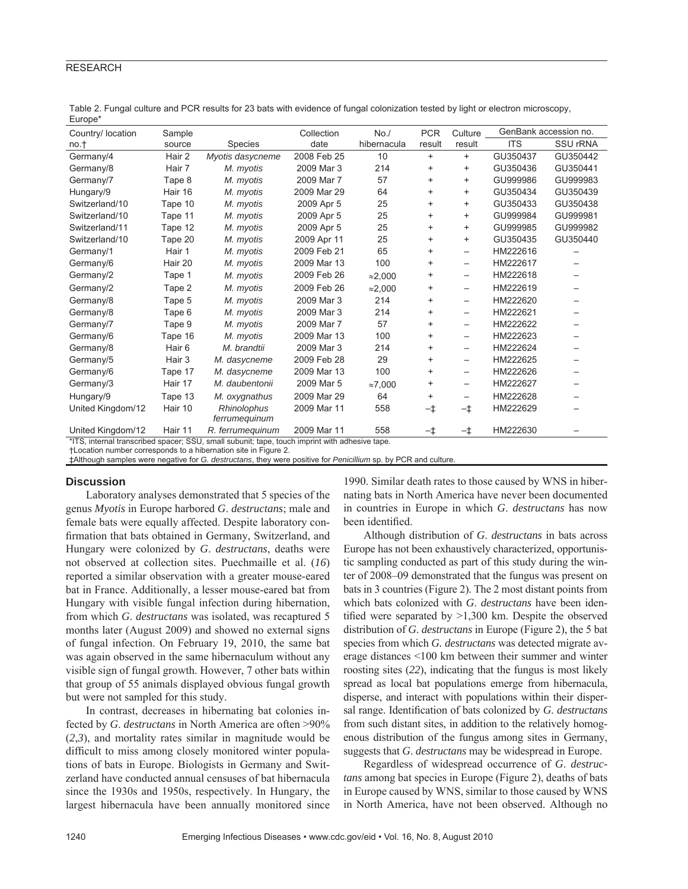### RESEARCH

| Table 2. Fungal culture and PCR results for 23 bats with evidence of fungal colonization tested by light or electron microscopy, |  |  |
|----------------------------------------------------------------------------------------------------------------------------------|--|--|
| Europe*                                                                                                                          |  |  |

| Country/ location                                                                              | Sample  |                    | Collection  | No.             | <b>PCR</b> | Culture                  | GenBank accession no. |                 |
|------------------------------------------------------------------------------------------------|---------|--------------------|-------------|-----------------|------------|--------------------------|-----------------------|-----------------|
| no.t                                                                                           | source  | <b>Species</b>     | date        | hibernacula     | result     | result                   | <b>ITS</b>            | <b>SSU rRNA</b> |
| Germany/4                                                                                      | Hair 2  | Myotis dasycneme   | 2008 Feb 25 | 10              | $^{+}$     | $^{+}$                   | GU350437              | GU350442        |
| Germany/8                                                                                      | Hair 7  | M. myotis          | 2009 Mar 3  | 214             | $\ddot{}$  | $\ddot{}$                | GU350436              | GU350441        |
| Germany/7                                                                                      | Tape 8  | M. myotis          | 2009 Mar 7  | 57              | $\ddot{}$  | $^{+}$                   | GU999986              | GU999983        |
| Hungary/9                                                                                      | Hair 16 | M. myotis          | 2009 Mar 29 | 64              | $\ddot{}$  | $\ddot{}$                | GU350434              | GU350439        |
| Switzerland/10                                                                                 | Tape 10 | M. myotis          | 2009 Apr 5  | 25              | $\ddot{}$  | $\ddot{}$                | GU350433              | GU350438        |
| Switzerland/10                                                                                 | Tape 11 | M. myotis          | 2009 Apr 5  | 25              | $\ddot{}$  | $\ddot{}$                | GU999984              | GU999981        |
| Switzerland/11                                                                                 | Tape 12 | M. myotis          | 2009 Apr 5  | 25              | $\ddot{}$  | $\ddot{}$                | GU999985              | GU999982        |
| Switzerland/10                                                                                 | Tape 20 | M. myotis          | 2009 Apr 11 | 25              | $\ddot{}$  | $\ddot{}$                | GU350435              | GU350440        |
| Germany/1                                                                                      | Hair 1  | M. myotis          | 2009 Feb 21 | 65              | $\ddot{}$  |                          | HM222616              |                 |
| Germany/6                                                                                      | Hair 20 | M. myotis          | 2009 Mar 13 | 100             | $\ddot{}$  | $\qquad \qquad -$        | HM222617              |                 |
| Germany/2                                                                                      | Tape 1  | M. myotis          | 2009 Feb 26 | $\approx$ 2,000 | $\ddot{}$  | $\qquad \qquad -$        | HM222618              |                 |
| Germany/2                                                                                      | Tape 2  | M. myotis          | 2009 Feb 26 | $\approx$ 2.000 | $\ddot{}$  | $\overline{\phantom{0}}$ | HM222619              |                 |
| Germany/8                                                                                      | Tape 5  | M. myotis          | 2009 Mar 3  | 214             | $\ddot{}$  | $\overline{\phantom{0}}$ | HM222620              |                 |
| Germany/8                                                                                      | Tape 6  | M. myotis          | 2009 Mar 3  | 214             | $\ddot{}$  | $\overline{\phantom{0}}$ | HM222621              |                 |
| Germany/7                                                                                      | Tape 9  | M. myotis          | 2009 Mar 7  | 57              | $\ddot{}$  |                          | HM222622              |                 |
| Germany/6                                                                                      | Tape 16 | M. myotis          | 2009 Mar 13 | 100             | $\ddot{}$  | $\qquad \qquad -$        | HM222623              |                 |
| Germany/8                                                                                      | Hair 6  | M. brandtii        | 2009 Mar 3  | 214             | $\ddot{}$  | $\overline{\phantom{0}}$ | HM222624              |                 |
| Germany/5                                                                                      | Hair 3  | M. dasycneme       | 2009 Feb 28 | 29              | $\ddot{}$  | —                        | HM222625              |                 |
| Germany/6                                                                                      | Tape 17 | M. dasycneme       | 2009 Mar 13 | 100             | $\ddot{}$  | $\overline{\phantom{0}}$ | HM222626              |                 |
| Germany/3                                                                                      | Hair 17 | M. daubentonii     | 2009 Mar 5  | $\approx$ 7.000 | $\ddot{}$  | $\qquad \qquad -$        | HM222627              |                 |
| Hungary/9                                                                                      | Tape 13 | M. oxygnathus      | 2009 Mar 29 | 64              | $\ddot{}$  | $\qquad \qquad -$        | HM222628              |                 |
| United Kingdom/12                                                                              | Hair 10 | <b>Rhinolophus</b> | 2009 Mar 11 | 558             | $-\pm$     | $-\pm$                   | HM222629              |                 |
|                                                                                                |         | ferrumequinum      |             |                 |            |                          |                       |                 |
| United Kingdom/12                                                                              | Hair 11 | R. ferrumequinum   | 2009 Mar 11 | 558             | -‡         | -‡                       | HM222630              |                 |
| *ITS, internal transcribed spacer; SSU, small subunit; tape, touch imprint with adhesive tape. |         |                    |             |                 |            |                          |                       |                 |

†Location number corresponds to a hibernation site in Figure 2.

‡Although samples were negative for *G. destructans*, they were positive for *Penicillium* sp. by PCR and culture.

#### **Discussion**

Laboratory analyses demonstrated that 5 species of the genus *Myotis* in Europe harbored *G*. *destructans*; male and female bats were equally affected. Despite laboratory confirmation that bats obtained in Germany, Switzerland, and Hungary were colonized by *G*. *destructans*, deaths were not observed at collection sites. Puechmaille et al. (*16*) reported a similar observation with a greater mouse-eared bat in France. Additionally, a lesser mouse-eared bat from Hungary with visible fungal infection during hibernation, from which *G*. *destructans* was isolated, was recaptured 5 months later (August 2009) and showed no external signs of fungal infection. On February 19, 2010, the same bat was again observed in the same hibernaculum without any visible sign of fungal growth. However, 7 other bats within that group of 55 animals displayed obvious fungal growth but were not sampled for this study.

In contrast, decreases in hibernating bat colonies infected by *G*. *destructans* in North America are often >90% (*2*,*3*), and mortality rates similar in magnitude would be difficult to miss among closely monitored winter populations of bats in Europe. Biologists in Germany and Switzerland have conducted annual censuses of bat hibernacula since the 1930s and 1950s, respectively. In Hungary, the largest hibernacula have been annually monitored since

1990. Similar death rates to those caused by WNS in hibernating bats in North America have never been documented in countries in Europe in which *G*. *destructans* has now been identified.

Although distribution of *G*. *destructans* in bats across Europe has not been exhaustively characterized, opportunistic sampling conducted as part of this study during the winter of 2008–09 demonstrated that the fungus was present on bats in 3 countries (Figure 2). The 2 most distant points from which bats colonized with *G*. *destructans* have been identified were separated by  $>1,300$  km. Despite the observed distribution of *G*. *destructans* in Europe (Figure 2), the 5 bat species from which *G. destructans* was detected migrate average distances <100 km between their summer and winter roosting sites (*22*), indicating that the fungus is most likely spread as local bat populations emerge from hibernacula, disperse, and interact with populations within their dispersal range. Identification of bats colonized by *G. destructans* from such distant sites, in addition to the relatively homogenous distribution of the fungus among sites in Germany, suggests that *G*. *destructans* may be widespread in Europe.

Regardless of widespread occurrence of *G*. *destructans* among bat species in Europe (Figure 2), deaths of bats in Europe caused by WNS, similar to those caused by WNS in North America, have not been observed. Although no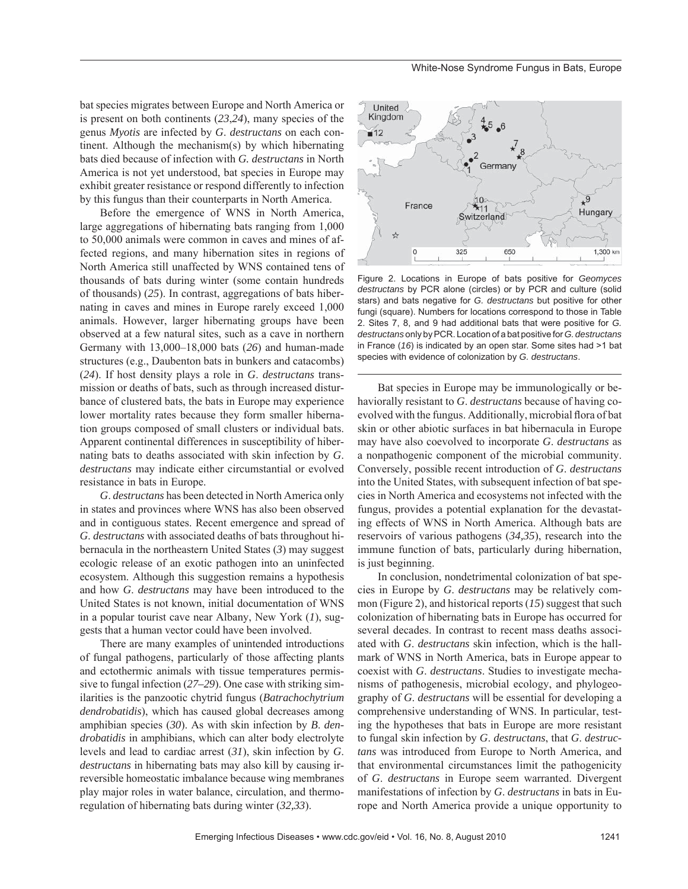bat species migrates between Europe and North America or is present on both continents (*23*,*24*), many species of the genus *Myotis* are infected by *G*. *destructans* on each continent. Although the mechanism(s) by which hibernating bats died because of infection with *G. destructans* in North America is not yet understood, bat species in Europe may exhibit greater resistance or respond differently to infection by this fungus than their counterparts in North America.

Before the emergence of WNS in North America, large aggregations of hibernating bats ranging from 1,000 to 50,000 animals were common in caves and mines of affected regions, and many hibernation sites in regions of North America still unaffected by WNS contained tens of thousands of bats during winter (some contain hundreds of thousands) (*25*). In contrast, aggregations of bats hibernating in caves and mines in Europe rarely exceed 1,000 animals. However, larger hibernating groups have been observed at a few natural sites, such as a cave in northern Germany with 13,000–18,000 bats (*26*) and human-made structures (e.g., Daubenton bats in bunkers and catacombs) (*24*). If host density plays a role in *G*. *destructans* transmission or deaths of bats, such as through increased disturbance of clustered bats, the bats in Europe may experience lower mortality rates because they form smaller hibernation groups composed of small clusters or individual bats. Apparent continental differences in susceptibility of hibernating bats to deaths associated with skin infection by *G*. *destructans* may indicate either circumstantial or evolved resistance in bats in Europe.

*G*. *destructans* has been detected in North America only in states and provinces where WNS has also been observed and in contiguous states. Recent emergence and spread of *G*. *destructans* with associated deaths of bats throughout hibernacula in the northeastern United States (*3*) may suggest ecologic release of an exotic pathogen into an uninfected ecosystem. Although this suggestion remains a hypothesis and how *G*. *destructans* may have been introduced to the United States is not known, initial documentation of WNS in a popular tourist cave near Albany, New York (*1*), suggests that a human vector could have been involved.

There are many examples of unintended introductions of fungal pathogens, particularly of those affecting plants and ectothermic animals with tissue temperatures permissive to fungal infection (*27–29*). One case with striking similarities is the panzootic chytrid fungus (*Batrachochytrium dendrobatidis*), which has caused global decreases among amphibian species (*30*). As with skin infection by *B*. *dendrobatidis* in amphibians, which can alter body electrolyte levels and lead to cardiac arrest (*31*), skin infection by *G*. *destructans* in hibernating bats may also kill by causing irreversible homeostatic imbalance because wing membranes play major roles in water balance, circulation, and thermoregulation of hibernating bats during winter (*32,33*).



Figure 2. Locations in Europe of bats positive for *Geomyces destructans* by PCR alone (circles) or by PCR and culture (solid stars) and bats negative for *G. destructans* but positive for other fungi (square). Numbers for locations correspond to those in Table 2. Sites 7, 8, and 9 had additional bats that were positive for *G. destructans* only by PCR. Location of a bat positive for *G. destructans* in France (*16*) is indicated by an open star. Some sites had >1 bat species with evidence of colonization by *G. destructans*.

Bat species in Europe may be immunologically or behaviorally resistant to *G*. *destructans* because of having coevolved with the fungus. Additionally, microbial flora of bat skin or other abiotic surfaces in bat hibernacula in Europe may have also coevolved to incorporate *G*. *destructans* as a nonpathogenic component of the microbial community. Conversely, possible recent introduction of *G*. *destructans* into the United States, with subsequent infection of bat species in North America and ecosystems not infected with the fungus, provides a potential explanation for the devastating effects of WNS in North America. Although bats are reservoirs of various pathogens (*34,35*), research into the immune function of bats, particularly during hibernation, is just beginning.

In conclusion, nondetrimental colonization of bat species in Europe by *G*. *destructans* may be relatively common (Figure 2), and historical reports (*15*) suggest that such colonization of hibernating bats in Europe has occurred for several decades. In contrast to recent mass deaths associated with *G*. *destructans* skin infection, which is the hallmark of WNS in North America, bats in Europe appear to coexist with *G*. *destructans*. Studies to investigate mechanisms of pathogenesis, microbial ecology, and phylogeography of *G*. *destructans* will be essential for developing a comprehensive understanding of WNS. In particular, testing the hypotheses that bats in Europe are more resistant to fungal skin infection by *G*. *destructans*, that *G*. *destructans* was introduced from Europe to North America, and that environmental circumstances limit the pathogenicity of *G*. *destructans* in Europe seem warranted. Divergent manifestations of infection by *G*. *destructans* in bats in Europe and North America provide a unique opportunity to